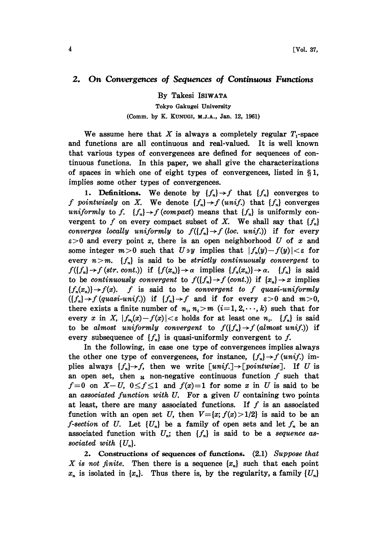## 2. On Convergences of Sequences of Continuous Functions

By Takesi ISIWATA

Tokyo Gakugei University (Comm. by K. KUNUGI, M.J.A., Jan. 12, 1961)

We assume here that X is always a completely regular  $T_1$ -space and functions are all continuous and real-valued. It is well known that various types of convergences are defined for sequences of continuous functions. In this paper, we shall give the characterizations of spaces in which one of eight types of convergences, listed in  $\S1$ , implies some other types of convergences.

1. Definitions. We denote by  ${f_n} \rightarrow f$  that  ${f_n}$  converges to f pointwisely on X. We denote  ${f_n} \rightarrow f$  (unif.) that  ${f_n}$  converges uniformly to f.  ${f_n} \rightarrow f$  (compact) means that  ${f_n}$  is uniformly convergent to f on every compact subset of X. We shall say that  $\{f_n\}$ converges locally uniformly to  $f({f_n} \rightarrow f {loc. unit})$  if for every  $\varepsilon > 0$  and every point x, there is an open neighborhood U of x and some integer  $m>0$  such that  $U \ni y$  implies that  $|f_n(y)-f(y)| < \varepsilon$  for every  $n>m$ .  ${f_n}$  is said to be strictly continuously convergent to  $f({f_n} \rightarrow f (str. cont.))$  if  ${f(x_n)} \rightarrow \alpha$  implies  ${f_n(x_n)} \rightarrow \alpha$ .  ${f_n}$  is said to be continuously convergent to  $f({f_n} \rightarrow f (cont.))$  if  ${x_n} \rightarrow x$  implies  ${f_n(x_n)} \rightarrow f(x)$ . f is said to be convergent to f quasi-uniformly  $((f_n) \rightarrow f (quasi-unif.))$  if  $\{f_n\} \rightarrow f$  and if for every  $\varepsilon > 0$  and  $m > 0$ ,<br>there exists a finite number of  $n_i$ ,  $n_i > m$   $(i=1, 2, \dots, k)$  such that for every x in X,  $|f_{n_i}(x)-f(x)| < \varepsilon$  holds for at least one  $n_i$ .  $\{f_n\}$  is said to be almost uniformly convergent to  $f({f_n} \rightarrow f (almost unif.))$  if every subsequence of  $\{f_n\}$  is quasi-uniformly convergent to f.

In the following, in case one type of convergences implies always the other one type of convergences, for instance,  ${f_n} \rightarrow f$  (unif.) implies always  $\{f_n\} \rightarrow f$ , then we write  $\lfloor \text{unif.} \rfloor \rightarrow \lfloor \text{pointwise} \rfloor$ . If U is an open set, then  $\alpha$  non-negative continuous function  $f$  such that  $f=0$  on  $X-U$ ,  $0 \le f \le 1$  and  $f(x)=1$  for some x in U is said to be an associated function with  $U$ . For a given  $U$  containing two points at least, there are many associated functions. If  $f$  is an associated function with an open set U, then  $V=[x; f(x)>1/2]$  is said to be an *f*-section of U. Let  $\{U_n\}$  be a family of open sets and let  $f_n$  be an associated function with  $U_n$ ; then  $\{f_n\}$  is said to be a sequence associated with  $\{U_n\}.$ 

2. Constructions of sequences of functions. (2.1) Suppose that X is not finite. Then there is a sequence  $\{x_n\}$  such that each point  $x_n$  is isolated in  $\{x_n\}$ . Thus there is, by the regularity, a family  $\{U_n\}$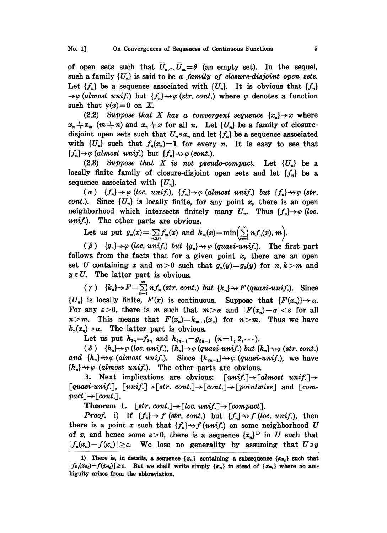of open sets such that  $\overline{U}_n\setminus\overline{U}_m=\theta$  (an empty set). In the sequel, such a family  $\{U_n\}$  is said to be a family of closure-disjoint open sets. Let  $\{f_n\}$  be a sequence associated with  $\{U_n\}$ . It is obvious that  $\{f_n\}$  $\rightarrow \varphi$  (almost unif.) but  $\{f_n\} \rightarrow \varphi$  (str. cont.) where  $\varphi$  denotes a function such that  $\varphi(x)=0$  on X.

(2.2) Suppose that X has a convergent sequence  $\{x_n\} \rightarrow x$  where  $x_n \neq x_m$   $(m \neq n)$  and  $x_n \neq x$  for all n. Let  $\{U_n\}$  be a family of closuredisjoint open sets such that  $U_n \ni x_n$  and let  $\{f_n\}$  be a sequence associated with  $\{U_n\}$  such that  $f_n(x_n)=1$  for every n. It is easy to see that  ${f_n} \rightarrow \varphi$  (almost unif.) but  ${f_n} \rightarrow \varphi$  (cont.).

 $(2.3)$  Suppose that X is not pseudo-compact. Let  $\{U_n\}$  be a locally finite family of closure-disjoint open sets and let  $\{f_n\}$  be a sequence associated with  $\{U_n\}$ .

 $\alpha$ )  $\{f_n\} \rightarrow \varphi$  (loc. unif.),  $\{f_n\} \rightarrow \varphi$  (almost unif.) but  $\{f_n\} \rightarrow \varphi$  (str. *cont.*). Since  $\{U_n\}$  is locally finite, for any point x, there is an open neighborhood which intersects finitely many  $U_n$ . Thus  $\{f_n\} \rightarrow \varphi$  (loc. unif.). The other parts are obvious.

Let us put 
$$
g_n(x) = \sum_{m \ge n} f_m(x)
$$
 and  $k_m(x) = \min\left(\sum_{n=1}^{\infty} n f_n(x), m\right)$ .

 $(\beta)$   $\{g_n\} \rightarrow \varphi$  (loc. unif.) but  $\{g_n\} \rightarrow \varphi$  (quasi-unif.). The first part follows from the facts that for a given point  $x$ , there are an open set U containing x and  $m>0$  such that  $g_n(y)=g_k(y)$  for  $n, k>m$  and  $y \in U$ . The latter part is obvious.

 $(\gamma) \quad \{k_n\} \rightarrow F = \sum_{n=1}^{\infty} n f_n \, (str. \, cont.) \, but \, \{k_n\} \rightarrow F \, (quasi-unif.).$  Since  ${U_n}$  is locally finite,  $F(x)$  is continuous. Suppose that  ${F(x_n)} \rightarrow \alpha$ . For any  $\varepsilon > 0$ , there is m such that  $m > \alpha$  and  $|F(x_n)-\alpha| < \varepsilon$  for all  $n>m$ . This means that  $F(x_n)=k_{m+1}(x_n)$  for  $n>m$ . Thus we have  $k_n(x_n) \rightarrow \alpha$ . The latter part is obvious.

Let us put  $h_{2n}=f_{2n}$  and  $h_{2n-1}=g_{2n-1}$   $(n=1,2,\cdots).$ 

(  $\delta$  )  $\{h_n\} \rightarrow \varphi$  (loc. unif.),  $\{h_n\} \rightarrow \varphi$  (quasi-unif.) but  $\{h_n\} \rightarrow \varphi$  (str. cont.) and  $\{h_n\} \rightarrow \varphi$  (almost unif.). Since  $\{h_{2n-1}\} \rightarrow \varphi$  (quasi-unif.), we have  ${h_n} \rightarrow \varphi$  (almost unif.). The other parts are obvious.

3. Next implications are obvious:  $\lceil unif. \rceil \rightarrow \lceil almost \; unif. \rceil \rightarrow$ [quasi-unif.],  ${\lceil \text{unif.} \rceil} \rightarrow {\lceil \text{str. cont.} \rceil} \rightarrow {\lceil \text{cont.} \rceil} \rightarrow {\lceil \text{pointwise} \rceil}$  and  ${\lceil \text{com-} \rceil}$  $pat] \rightarrow [cont.]$ .

 $j \rightarrow \lfloor cont. \rfloor.$ <br>Theorem 1. [str. cont.]  $\rightarrow \lfloor loc.$  unif.]  $\rightarrow \lfloor compact \rfloor.$ 

*Proof.* i) If  $\{f_n\} \rightarrow f$  (str. cont.) but  $\{f_n\} \rightarrow f$  (loc. unif.), then there is a point x such that  $\{f_n\} \rightarrow f$  (unif.) on some neighborhood U of x, and hence some  $\varepsilon > 0$ , there is a sequence  $\{x_n\}^{\mathbb{N}}$  in U such that  $|f_n(x_n)-f(x_n)| \geq \varepsilon$ . We lose no generality by assuming that  $U \ni y$ 

<sup>1)</sup> There is, in details, a sequence  ${x_n}$  containing a subsequence  ${x_{n_i}}$  such that  $|f_{n_i}(x_{n_i})-f(x_{n_i})|\geq \varepsilon$ . But we shall write simply  $\{x_n\}$  in stead of  $\{x_{n_i}\}$  where no ambiguity arises from the abbreviation.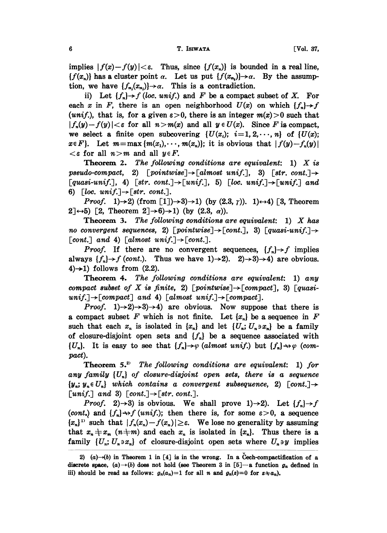## 6 **T. ISIWATA** [Vol. 37,

implies  $|f(x)-f(y)|<\varepsilon$ . Thus, since  $\{f(x_n)\}\$ is bounded in a real line,  ${f(x_n)}$  has a cluster point  $\alpha$ . Let us put  ${f(x_{n_i})} \rightarrow \alpha$ . By the assumption, we have  $\{f_{n_i}(x_{n_i})\}\rightarrow\alpha$ . This is a contradiction.

ii) Let  $\{f_n\} \rightarrow f$  (loc. unif.) and F be a compact subset of X. For each x in F, there is an open neighborhood  $U(x)$  on which  ${f<sub>n</sub>} {\rightarrow} f$ (unif.), that is, for a given  $\epsilon > 0$ , there is an integer  $m(x) > 0$  such that  $|f_n(y)-f(y)|<\varepsilon$  for all  $n>m(x)$  and all  $y\in U(x)$ . Since F is compact, we select a finite open subcovering  $\{U(x_i); i=1,2,\dots, n\}$  of  $\{U(x);$  $x \in F$ . Let  $m = \max \{m(x_1), \dots, m(x_n)\}$ ; it is obvious that  $|f(y) - f_n(y)|$  $\lt$ s for all  $n > m$  and all  $y \in F$ .

**Theorem 2.** The following conditions are equivalent: 1)  $X$  is pseudo-compact, 2)  $[pointwise] \rightarrow [almost unit]$ , 3)  $[str. cont.] \rightarrow$ [quasi-unif.], 4) [str. cont.]  $\rightarrow$  [unif.], 5) [loc. unif.]  $\rightarrow$  [unif.] and 6) [loc. unif.]  $\rightarrow$  [str. cont.].

*Proof.* 1) $\rightarrow$ 2) (from [1]) $\rightarrow$ 3) $\rightarrow$ 1) (by (2.3,  $\gamma$ )). 1) $\leftrightarrow$ 4) [3, Theorem  $2\rightarrow 5$ ) [2, Theorem  $2\rightarrow 6$ ) $\rightarrow$ 1) (by (2.3,  $\alpha$ )).

**Theorem 3.** The following conditions are equivalent:  $1$ ) X has no convergent sequences, 2) [pointwise]  $\rightarrow$  [cont.], 3) [quasi-unif.]  $\rightarrow$ [cont.] and 4) [almost unif.]  $\rightarrow$  [cont.].

*Proof.* If there are no convergent sequences,  $\{f_n\} \rightarrow f$  implies always  $\{f_n\} \rightarrow f$  (cont.). Thus we have  $1) \rightarrow 2$ ).  $2) \rightarrow 3$ ) $\rightarrow 4$ ) are obvious. 4) $\rightarrow$ 1) follows from (2.2).

Theorem 4. The following conditions are equivalent: 1) any compact subset of X is finite, 2) [pointwise]  $\rightarrow$  [compact], 3) [quasi $unif.$   $\rightarrow$  [compact] and 4) [almost unif.]  $\rightarrow$  [compact].

*Proof.* 1 $\rightarrow$ 2 $\rightarrow$ 3 $\rightarrow$ 4) are obvious. Now suppose that there is a compact subset F which is not finite. Let  $\{x_n\}$  be a sequence in F such that each  $x_n$  is isolated in  $\{x_n\}$  and let  $\{U_n; U_n \ni x_n\}$  be a family of closure-disjoint open sets and  $\{f_n\}$  be a sequence associated with  $\{U_n\}$ . It is easy to see that  $\{f_n\} \rightarrow \varphi$  (almost unif.) but  $\{f_n\} \rightarrow \varphi$  (compact).

Theorem  $5.^2$  The following conditions are equivalent: 1) for any family  $\{U_n\}$  of closure-disjoint open sets, there is a sequence  $\{y_n; y_n \in U_n\}$  which contains a convergent subsequence, 2) [cont.]  $\rightarrow$ [unif.] and 3) [cont.] $\rightarrow$ [str. cont.].

*Proof.* 2)  $\rightarrow$ 3) is obvious. We shall prove 1)  $\rightarrow$ 2). Let  $\{f_n\} \rightarrow f$ (cont.) and  $\{f_n\} \rightarrow f$  (unif.); then there is, for some  $\varepsilon > 0$ , a sequence  $\{x_n\}$ <sup>11</sup> such that  $|f_n(x_n)-f(x_n)| \geq \varepsilon$ . We lose no generality by assuming that  $x_n \neq x_m$  ( $n \neq m$ ) and each  $x_n$  is isolated in  $\{x_n\}$ . Thus there is a family  $\{U_n; U_n \ni x_n\}$  of closure-disjoint open sets where  $U_n \ni y$  implies

<sup>2) (</sup>a)- $(b)$  in Theorem 1 in [4] is in the wrong. In a Cech-compactification of a discrete space,  $(a) \rightarrow (b)$  does not hold (see Theorem 3 in [5]-a function  $g_n$  defined in iii) should be read as follows:  $g_n(a_n)=1$  for all n and  $g_n(z)=0$  for  $z \neq a_n$ ).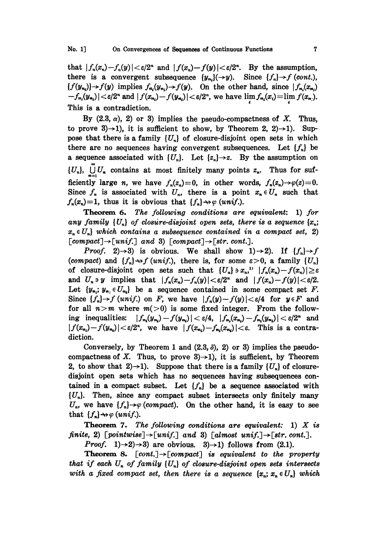that  $|f_n(x_n)-f_n(y)| < \varepsilon/2^n$  and  $|f(x_n)-f(y)| < \varepsilon/2^n$ . By the assumption, there is a convergent subsequence  $\{y_{n_i}\}(\rightarrow y)$ . Since  $\{f_n\} \rightarrow f$  (cont.),  ${f(y_{n_i})\rightarrow f(y)$  implies  $f_{n_i}(y_{n_i})\rightarrow f(y)$ . On the other hand, since  $|f_{n_i}(x_{n_i})|$  $-f_{n_i}(y_{n_i})\leq \varepsilon/2^n$  and  $|f(x_{n_i})-f(y_{n_i})| \leq \varepsilon/2^n$ , we have  $\lim_{s} f_{n_i}(x_i) = \lim_{s} f(x_n)$ . This is a contradiction.

By  $(2.3, \alpha)$ , 2) or 3) implies the pseudo-compactness of X. Thus, to prove 3) $\rightarrow$ 1), it is sufficient to show, by Theorem 2, 2) $\rightarrow$ 1). Suppose that there is a family  $\{U_n\}$  of closure-disjoint open sets in which there are no sequences having convergent subsequences. Let  $\{f_n\}$  be a sequence associated with  $\{U_n\}$ . Let  $\{z_n\} \rightarrow z$ . By the assumption on  $\{U_n\}$ ,  $\bigcup_{n=1}^{\infty} U_n$  contains at most finitely many points  $z_n$ . Thus for sufficiently large n, we have  $f_n(z_n)=0$ , in other words,  $f_n(z_n)\rightarrow\varphi(z)=0$ . Since  $f_n$  is associated with  $U_n$ , there is a point  $x_n \in U_n$  such that  $f_n(x_n)=1$ , thus it is obvious that  $\{f_n\}\rightarrow \varphi$  (unif.).

Theorem 6. The following conditions are equivalent: 1) for any family  $\{U_n\}$  of closure-disjoint open sets, there is a sequence  $\{x_n;$  $x_n \in U_n$  which contains a subsequence contained in a compact set, 2)  $[compact] \rightarrow [unif.]$  and 3)  $[compact] \rightarrow [str. cont.]$ .

*Proof.* 2 $\rightarrow$ 3) is obvious. We shall show 1 $\rightarrow$ 2). If  $\{f_n\} \rightarrow f$ (compact) and  $\{f_n\} \rightarrow f$  (unif.), there is, for some  $\varepsilon > 0$ , a family  $\{U_n\}$ of closure-disjoint open sets such that  $\{U_n\} \ni x_n$ ,  $|f_n(x_n) - f(x_n)| \geq \varepsilon$ and  $U_n \ni y$  implies that  $|f_n(x_n)-f_n(y)| < \varepsilon/2^n$  and  $|f(x_n)-f(y)| < \varepsilon/2$ . Let  $\{y_{n_i}; y_{n_i} \in U_{n_i}\}\$  be a sequence contained in some compact set F. Since  $\{f_n\}\rightarrow f$  (unif.) on F, we have  $|f_n(y)-f(y)|<\varepsilon/4$  for  $y\in F$  and for all  $n>m$  where  $m(>0)$  is some fixed integer. From the following inequalities:  $|f_{n_i}(y_{n_i})-f(y_{n_i})| < \varepsilon/4$ ,  $|f_{n_i}(x_{n_i})-f_{n_i}(y_{n_i})| < \varepsilon/2^n$  and  $|f(x_{n_i})-f(y_{n_i})|<\varepsilon/2^n$ , we have  $|f(x_{n_i})-f_{n_i}(x_{n_i})|<\varepsilon$ . This is a contradiction.

Conversely, by Theorem 1 and  $(2.3, \delta)$ , 2) or 3) implies the pseudocompactness of X. Thus, to prove 3)->1), it is sufficient, by Theorem 2, to show that 2)->1). Suppose that there is a family  $\{U_n\}$  of closuredisjoint open sets which has no sequences having subsequences contained in a compact subset. Let  $\{f_n\}$  be a sequence associated with  $\{U_n\}$ . Then, since any compact subset intersects only finitely many  $U_n$ , we have  $\{f_n\} \rightarrow \varphi$  (compact). On the other hand, it is easy to see that  $\{f_n\} \rightarrow \varphi$  (unif.).

**Theorem 7.** The following conditions are equivalent: 1)  $X$  is finite, 2) [pointwise]  $\rightarrow$  [unif.] and 3) [almost unif.]  $\rightarrow$  [str. cont.].

*Proof.* 1 $\rightarrow$ 2 $\rightarrow$ 3) are obvious. 3 $\rightarrow$ 1) follows from (2.1).

**Theorem 8.**  $[cont.] \rightarrow [compact]$  is equivalent to the property that if each  $U_n$  of family  $\{U_n\}$  of closure-disjoint open sets intersects with a fixed compact set, then there is a sequence  $\{x_n; x_n \in U_n\}$  which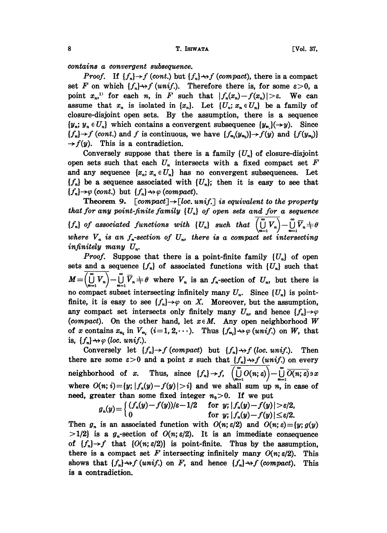contains a convergent subsequence.

*Proof.* If  $\{f_n\} \rightarrow f$  (cont.) but  $\{f_n\} \rightarrow f$  (compact), there is a compact set F on which  $\{f_n\} \rightarrow f$  (unif.). Therefore there is, for some  $\varepsilon > 0$ , a point  $x_n$ , for each n, in F such that  $|f_n(x_n)-f(x_n)|>\varepsilon$ . We can assume that  $x_n$  is isolated in  $\{x_n\}$ . Let  $\{U_n; x_n \in U_n\}$  be a family of closure-disjoint open sets. By the assumption, there is a sequence  $\{y_n; y_n \in U_n\}$  which contains a convergent subsequence  $\{y_n\}(\rightarrow y)$ . Since  ${f_n}\rightarrow f (cont.)$  and f is continuous, we have  ${f_{n}(y_{n})}\rightarrow f(y)$  and  ${f(y_{n})}\rightarrow f(y)$  $\rightarrow$   $f(y)$ . This is a contradiction.

Conversely suppose that there is a family  $\{U_n\}$  of closure-disjoint open sets such that each  $U_n$  intersects with a fixed compact set F and any sequence  $\{x_n; x_n \in U_n\}$  has no convergent subsequences. Let  ${f_n}$  be a sequence associated with  ${U_n}$ ; then it is easy to see that  ${f_n} \rightarrow \varphi$  (cont.) but  ${f_n} \rightarrow \varphi$  (compact).

**Theorem 9.** [compact] $\rightarrow$ [loc. unif.] is equivalent to the property that for any point-finite family  $\{U_n\}$  of open sets and for a sequence  ${f_n}$  of associated functions with  ${U_n}$  such that  $(\bigcup_{n=1}^{\infty} V_n) - \bigcup_{n=1}^{\infty}$ where  $V_n$  is an  $f_n$ -section of  $U_n$ , there is a compact set intersecting infinitely many  $U_n$ .

*Proof.* Suppose that there is a point-finite family  $\{U_n\}$  of open sets and a sequence  $\{f_n\}$  of associated functions with  $\{U_n\}$  such that  $M=\left(\bigcup_{n=1}^{\infty}V_n\right)-\bigcup_{n=1}^{\infty}\overline{V}_n\neq\theta$  where  $V_n$  is an  $f_n$ -section of  $U_n$ , but there is no compact subset intersecting infinitely many  $U_n$ . Since  $\{U_n\}$  is pointfinite, it is easy to see  $\{f_n\} \rightarrow \varphi$  on X. Moreover, but the assumption, any compact set intersects only finitely many  $U_n$ , and hence  $\{f_n\} \rightarrow \varphi$ (compact). On the other hand, let  $x \in M$ . Any open neighborhood W of x contains  $x_{n_i}$  in  $V_{n_i}$  (i=1, 2,  $\cdots$ ). Thus  $\{f_{n_i}\}\rightarrow \varphi$  (unif.) on W, that is,  $\{f_n\} \rightarrow \varphi$  (loc. unif.).

Conversely let  $\{f_n\} \rightarrow f$  (compact) but  $\{f_n\} \rightarrow f$  (loc. unif.). Then there are some  $\varepsilon > 0$  and a point x such that  $\{f_n\} \rightarrow f$  (unif.) on every neighborhood of x. Thus, since  $\{f_n\} \to f$ ,  $\overline{\left(\bigcup_{n=1}^{\infty} O(n;\varepsilon)\right)} - \bigcup_{n=1}^{\infty} \overline{O(n;\varepsilon)} \ni x$ where  $O(n; i) = {y; |f_n(y) - f(y)| > i}$  and we shall sum up n, in case of need, greater than some fixed integer  $n_0>0$ . If we put

$$
g_n(y) = \begin{cases} (f_n(y) - f(y)) / \varepsilon - 1/2 & \text{for } y; |f_n(y) - f(y)| > \varepsilon/2, \\ 0 & \text{for } y; |f_n(y) - f(y)| \leq \varepsilon/2. \end{cases}
$$

Then  $g_n$  is an associated function with  $O(n; \varepsilon/2)$  and  $O(n; \varepsilon) = \{y; g(y)\}$  $>1/2$ } is a  $g_n$ -section of  $O(n;\epsilon/2)$ . It is an immediate consequence of  $\{f_n\}\rightarrow f$  that  $\{O(n;\varepsilon/2)\}$  is point-finite. Thus by the assumption, there is a compact set F intersecting infinitely many  $O(n;\varepsilon/2)$ . This shows that  $\{f_n\}\rightarrow f$  (unif.) on F, and hence  $\{f_n\}\rightarrow f$  (compact). This is a contradiction.